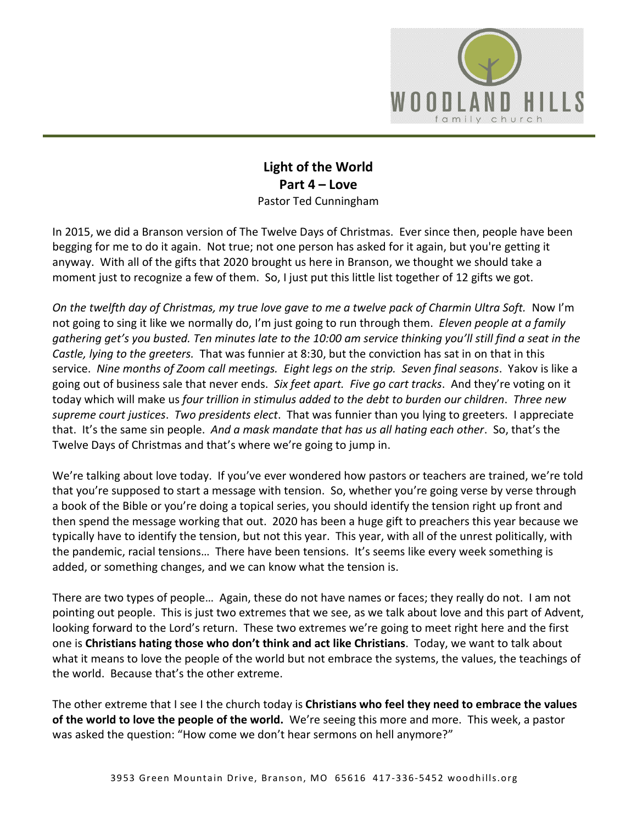

## **Light of the World Part 4 – Love** Pastor Ted Cunningham

In 2015, we did a Branson version of The Twelve Days of Christmas. Ever since then, people have been begging for me to do it again. Not true; not one person has asked for it again, but you're getting it anyway. With all of the gifts that 2020 brought us here in Branson, we thought we should take a moment just to recognize a few of them. So, I just put this little list together of 12 gifts we got.

*On the twelfth day of Christmas, my true love gave to me a twelve pack of Charmin Ultra Soft.* Now I'm not going to sing it like we normally do, I'm just going to run through them. *Eleven people at a family gathering get's you busted. Ten minutes late to the 10:00 am service thinking you'll still find a seat in the Castle, lying to the greeters.* That was funnier at 8:30, but the conviction has sat in on that in this service. *Nine months of Zoom call meetings. Eight legs on the strip. Seven final seasons*. Yakov is like a going out of business sale that never ends. *Six feet apart. Five go cart tracks*. And they're voting on it today which will make us *four trillion in stimulus added to the debt to burden our children*. *Three new supreme court justices*. *Two presidents elect*. That was funnier than you lying to greeters. I appreciate that. It's the same sin people. *And a mask mandate that has us all hating each other*. So, that's the Twelve Days of Christmas and that's where we're going to jump in.

We're talking about love today. If you've ever wondered how pastors or teachers are trained, we're told that you're supposed to start a message with tension. So, whether you're going verse by verse through a book of the Bible or you're doing a topical series, you should identify the tension right up front and then spend the message working that out. 2020 has been a huge gift to preachers this year because we typically have to identify the tension, but not this year. This year, with all of the unrest politically, with the pandemic, racial tensions… There have been tensions. It's seems like every week something is added, or something changes, and we can know what the tension is.

There are two types of people… Again, these do not have names or faces; they really do not. I am not pointing out people. This is just two extremes that we see, as we talk about love and this part of Advent, looking forward to the Lord's return. These two extremes we're going to meet right here and the first one is **Christians hating those who don't think and act like Christians**. Today, we want to talk about what it means to love the people of the world but not embrace the systems, the values, the teachings of the world. Because that's the other extreme.

The other extreme that I see I the church today is **Christians who feel they need to embrace the values of the world to love the people of the world.** We're seeing this more and more. This week, a pastor was asked the question: "How come we don't hear sermons on hell anymore?"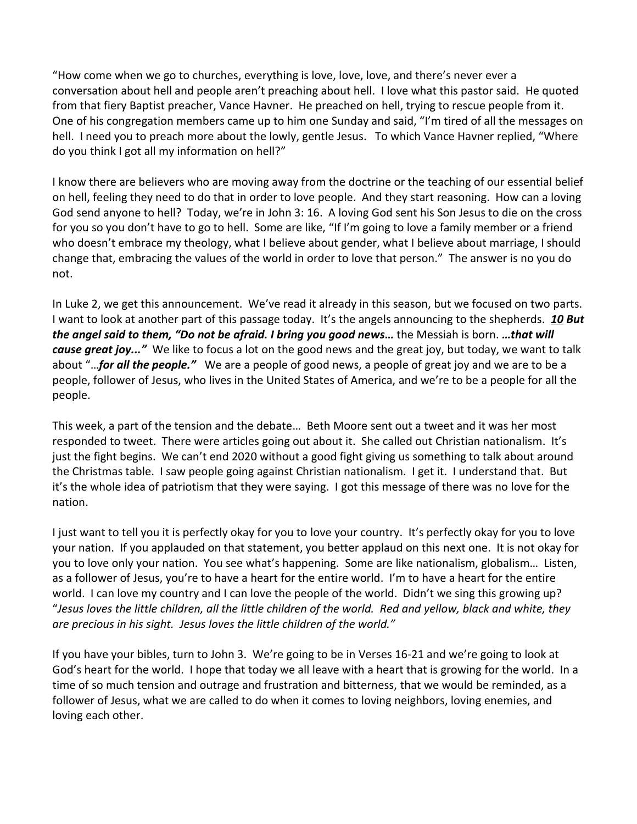"How come when we go to churches, everything is love, love, love, and there's never ever a conversation about hell and people aren't preaching about hell. I love what this pastor said. He quoted from that fiery Baptist preacher, Vance Havner. He preached on hell, trying to rescue people from it. One of his congregation members came up to him one Sunday and said, "I'm tired of all the messages on hell. I need you to preach more about the lowly, gentle Jesus. To which Vance Havner replied, "Where do you think I got all my information on hell?"

I know there are believers who are moving away from the doctrine or the teaching of our essential belief on hell, feeling they need to do that in order to love people. And they start reasoning. How can a loving God send anyone to hell? Today, we're in John 3: 16. A loving God sent his Son Jesus to die on the cross for you so you don't have to go to hell. Some are like, "If I'm going to love a family member or a friend who doesn't embrace my theology, what I believe about gender, what I believe about marriage, I should change that, embracing the values of the world in order to love that person." The answer is no you do not.

In Luke 2, we get this announcement. We've read it already in this season, but we focused on two parts. I want to look at another part of this passage today. It's the angels announcing to the shepherds. *[10](https://www.studylight.org/desk/?q=lu%202:10&t1=en_niv&sr=1) But the angel said to them, "Do not be afraid. I bring you good news…* the Messiah is born. *…that will cause great joy..."* We like to focus a lot on the good news and the great joy, but today, we want to talk about "…*for all the people."* We are a people of good news, a people of great joy and we are to be a people, follower of Jesus, who lives in the United States of America, and we're to be a people for all the people.

This week, a part of the tension and the debate… Beth Moore sent out a tweet and it was her most responded to tweet. There were articles going out about it. She called out Christian nationalism. It's just the fight begins. We can't end 2020 without a good fight giving us something to talk about around the Christmas table. I saw people going against Christian nationalism. I get it. I understand that. But it's the whole idea of patriotism that they were saying. I got this message of there was no love for the nation.

I just want to tell you it is perfectly okay for you to love your country. It's perfectly okay for you to love your nation. If you applauded on that statement, you better applaud on this next one. It is not okay for you to love only your nation. You see what's happening. Some are like nationalism, globalism… Listen, as a follower of Jesus, you're to have a heart for the entire world. I'm to have a heart for the entire world. I can love my country and I can love the people of the world. Didn't we sing this growing up? "*Jesus loves the little children, all the little children of the world. Red and yellow, black and white, they are precious in his sight. Jesus loves the little children of the world."*

If you have your bibles, turn to John 3. We're going to be in Verses 16-21 and we're going to look at God's heart for the world. I hope that today we all leave with a heart that is growing for the world. In a time of so much tension and outrage and frustration and bitterness, that we would be reminded, as a follower of Jesus, what we are called to do when it comes to loving neighbors, loving enemies, and loving each other.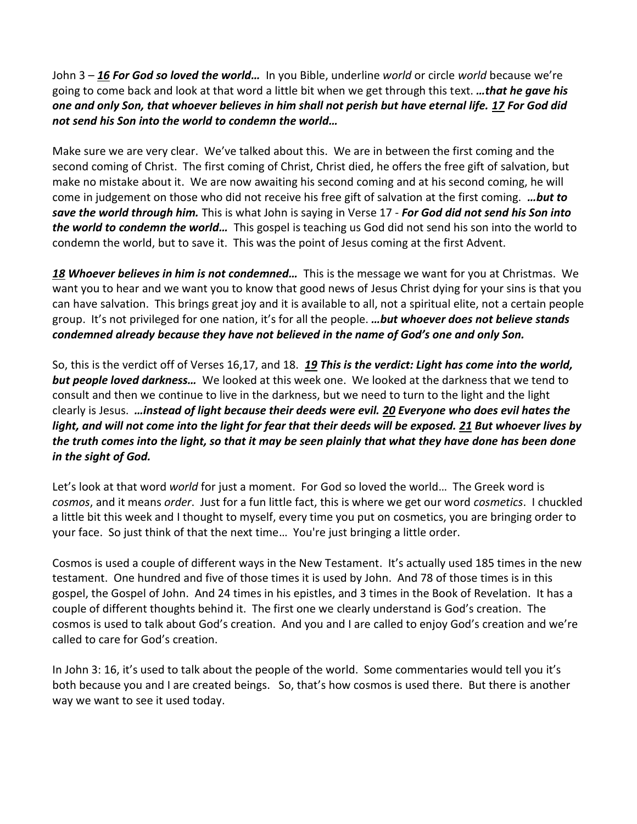John 3 – *[16](https://www.studylight.org/desk/?q=joh%203:16&t1=en_niv&sr=1) For God so loved the world…* In you Bible, underline *world* or circle *world* because we're going to come back and look at that word a little bit when we get through this text. *…that he gave his one and only Son, that whoever believes in him shall not perish but have eternal life. [17](https://www.studylight.org/desk/?q=joh%203:17&t1=en_niv&sr=1) For God did not send his Son into the world to condemn the world…*

Make sure we are very clear. We've talked about this. We are in between the first coming and the second coming of Christ. The first coming of Christ, Christ died, he offers the free gift of salvation, but make no mistake about it. We are now awaiting his second coming and at his second coming, he will come in judgement on those who did not receive his free gift of salvation at the first coming. *…but to save the world through him.* This is what John is saying in Verse 17 - *For God did not send his Son into the world to condemn the world…* This gospel is teaching us God did not send his son into the world to condemn the world, but to save it. This was the point of Jesus coming at the first Advent.

*[18](https://www.studylight.org/desk/?q=joh%203:18&t1=en_niv&sr=1) Whoever believes in him is not condemned…* This is the message we want for you at Christmas. We want you to hear and we want you to know that good news of Jesus Christ dying for your sins is that you can have salvation. This brings great joy and it is available to all, not a spiritual elite, not a certain people group. It's not privileged for one nation, it's for all the people. *…but whoever does not believe stands condemned already because they have not believed in the name of God's one and only Son.*

So, this is the verdict off of Verses 16,17, and 18. *[19](https://www.studylight.org/desk/?q=joh%203:19&t1=en_niv&sr=1) This is the verdict: Light has come into the world, but people loved darkness…* We looked at this week one. We looked at the darkness that we tend to consult and then we continue to live in the darkness, but we need to turn to the light and the light clearly is Jesus. *…instead of light because their deeds were evil. [20](https://www.studylight.org/desk/?q=joh%203:20&t1=en_niv&sr=1) Everyone who does evil hates the light, and will not come into the light for fear that their deeds will be exposed. [21](https://www.studylight.org/desk/?q=joh%203:21&t1=en_niv&sr=1) But whoever lives by the truth comes into the light, so that it may be seen plainly that what they have done has been done in the sight of God.*

Let's look at that word *world* for just a moment. For God so loved the world… The Greek word is *cosmos*, and it means *order*. Just for a fun little fact, this is where we get our word *cosmetics*. I chuckled a little bit this week and I thought to myself, every time you put on cosmetics, you are bringing order to your face. So just think of that the next time… You're just bringing a little order.

Cosmos is used a couple of different ways in the New Testament. It's actually used 185 times in the new testament. One hundred and five of those times it is used by John. And 78 of those times is in this gospel, the Gospel of John. And 24 times in his epistles, and 3 times in the Book of Revelation. It has a couple of different thoughts behind it. The first one we clearly understand is God's creation. The cosmos is used to talk about God's creation. And you and I are called to enjoy God's creation and we're called to care for God's creation.

In John 3: 16, it's used to talk about the people of the world. Some commentaries would tell you it's both because you and I are created beings. So, that's how cosmos is used there. But there is another way we want to see it used today.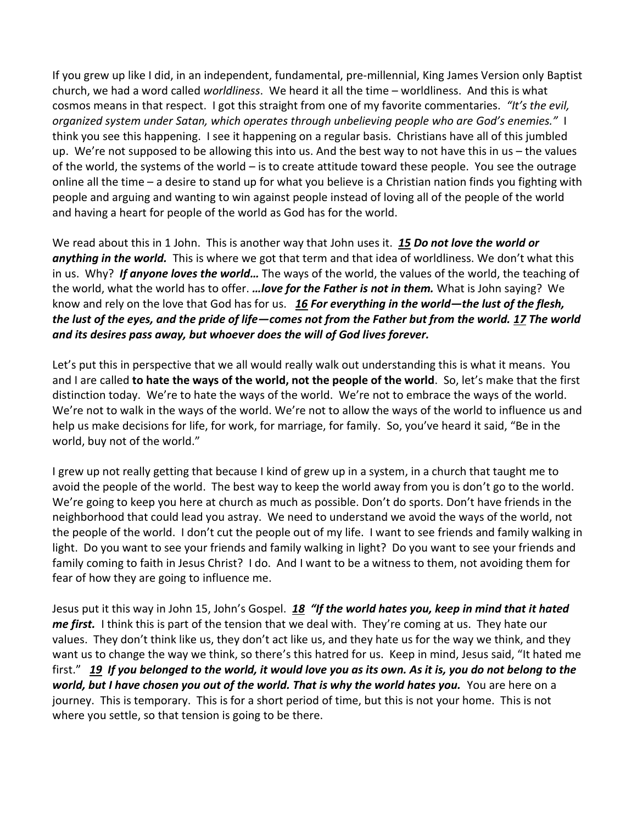If you grew up like I did, in an independent, fundamental, pre-millennial, King James Version only Baptist church, we had a word called *worldliness*. We heard it all the time – worldliness. And this is what cosmos means in that respect. I got this straight from one of my favorite commentaries. *"It's the evil, organized system under Satan, which operates through unbelieving people who are God's enemies."* I think you see this happening. I see it happening on a regular basis. Christians have all of this jumbled up. We're not supposed to be allowing this into us. And the best way to not have this in us – the values of the world, the systems of the world – is to create attitude toward these people. You see the outrage online all the time – a desire to stand up for what you believe is a Christian nation finds you fighting with people and arguing and wanting to win against people instead of loving all of the people of the world and having a heart for people of the world as God has for the world.

We read about this in 1 John. This is another way that John uses it. *[15](https://www.studylight.org/desk/?q=1jo%202:15&t1=en_niv&sr=1) Do not love the world or anything in the world.* This is where we got that term and that idea of worldliness. We don't what this in us. Why? *If anyone loves the world…* The ways of the world, the values of the world, the teaching of the world, what the world has to offer. *…love for the Father is not in them.* What is John saying? We know and rely on the love that God has for us. *[16](https://www.studylight.org/desk/?q=1jo%202:16&t1=en_niv&sr=1) For everything in the world—the lust of the flesh, the lust of the eyes, and the pride of life—comes not from the Father but from the world. [17](https://www.studylight.org/desk/?q=1jo%202:17&t1=en_niv&sr=1) The world and its desires pass away, but whoever does the will of God lives forever.*

Let's put this in perspective that we all would really walk out understanding this is what it means. You and I are called **to hate the ways of the world, not the people of the world**. So, let's make that the first distinction today. We're to hate the ways of the world. We're not to embrace the ways of the world. We're not to walk in the ways of the world. We're not to allow the ways of the world to influence us and help us make decisions for life, for work, for marriage, for family. So, you've heard it said, "Be in the world, buy not of the world."

I grew up not really getting that because I kind of grew up in a system, in a church that taught me to avoid the people of the world. The best way to keep the world away from you is don't go to the world. We're going to keep you here at church as much as possible. Don't do sports. Don't have friends in the neighborhood that could lead you astray. We need to understand we avoid the ways of the world, not the people of the world. I don't cut the people out of my life. I want to see friends and family walking in light. Do you want to see your friends and family walking in light? Do you want to see your friends and family coming to faith in Jesus Christ? I do. And I want to be a witness to them, not avoiding them for fear of how they are going to influence me.

Jesus put it this way in John 15, John's Gospel. *[18](https://www.studylight.org/desk/?q=joh%2015:18&t1=en_niv&sr=1) "If the world hates you, keep in mind that it hated me first.* I think this is part of the tension that we deal with. They're coming at us. They hate our values. They don't think like us, they don't act like us, and they hate us for the way we think, and they want us to change the way we think, so there's this hatred for us. Keep in mind, Jesus said, "It hated me first." *[19](https://www.studylight.org/desk/?q=joh%2015:19&t1=en_niv&sr=1) If you belonged to the world, it would love you as its own. As it is, you do not belong to the world, but I have chosen you out of the world. That is why the world hates you.* You are here on a journey. This is temporary. This is for a short period of time, but this is not your home. This is not where you settle, so that tension is going to be there.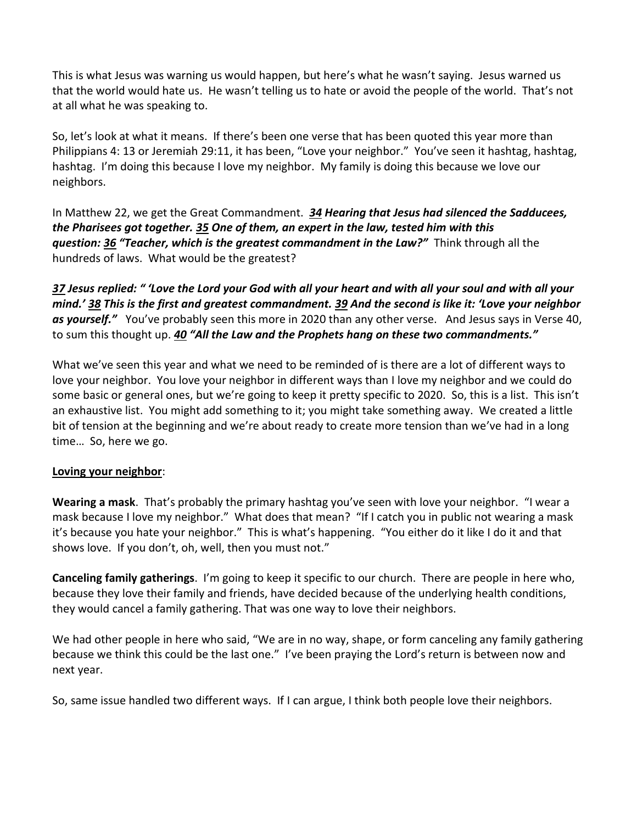This is what Jesus was warning us would happen, but here's what he wasn't saying. Jesus warned us that the world would hate us. He wasn't telling us to hate or avoid the people of the world. That's not at all what he was speaking to.

So, let's look at what it means. If there's been one verse that has been quoted this year more than Philippians 4: 13 or Jeremiah 29:11, it has been, "Love your neighbor." You've seen it hashtag, hashtag, hashtag. I'm doing this because I love my neighbor. My family is doing this because we love our neighbors.

In Matthew 22, we get the Great Commandment. *[34](https://www.studylight.org/desk/?q=mt%2022:34&t1=en_niv&sr=1) Hearing that Jesus had silenced the Sadducees, the Pharisees got together. [35](https://www.studylight.org/desk/?q=mt%2022:35&t1=en_niv&sr=1) One of them, an expert in the law, tested him with this question: [36](https://www.studylight.org/desk/?q=mt%2022:36&t1=en_niv&sr=1) "Teacher, which is the greatest commandment in the Law?"* Think through all the hundreds of laws. What would be the greatest?

*[37](https://www.studylight.org/desk/?q=mt%2022:37&t1=en_niv&sr=1) Jesus replied: " 'Love the Lord your God with all your heart and with all your soul and with all your mind.' [38](https://www.studylight.org/desk/?q=mt%2022:38&t1=en_niv&sr=1) This is the first and greatest commandment. [39](https://www.studylight.org/desk/?q=mt%2022:39&t1=en_niv&sr=1) And the second is like it: 'Love your neighbor as yourself."* You've probably seen this more in 2020 than any other verse. And Jesus says in Verse 40, to sum this thought up. *[40](https://www.studylight.org/desk/?q=mt%2022:40&t1=en_niv&sr=1) "All the Law and the Prophets hang on these two commandments."*

What we've seen this year and what we need to be reminded of is there are a lot of different ways to love your neighbor. You love your neighbor in different ways than I love my neighbor and we could do some basic or general ones, but we're going to keep it pretty specific to 2020. So, this is a list. This isn't an exhaustive list. You might add something to it; you might take something away. We created a little bit of tension at the beginning and we're about ready to create more tension than we've had in a long time… So, here we go.

## **Loving your neighbor**:

**Wearing a mask**. That's probably the primary hashtag you've seen with love your neighbor. "I wear a mask because I love my neighbor." What does that mean? "If I catch you in public not wearing a mask it's because you hate your neighbor." This is what's happening. "You either do it like I do it and that shows love. If you don't, oh, well, then you must not."

**Canceling family gatherings**. I'm going to keep it specific to our church. There are people in here who, because they love their family and friends, have decided because of the underlying health conditions, they would cancel a family gathering. That was one way to love their neighbors.

We had other people in here who said, "We are in no way, shape, or form canceling any family gathering because we think this could be the last one." I've been praying the Lord's return is between now and next year.

So, same issue handled two different ways. If I can argue, I think both people love their neighbors.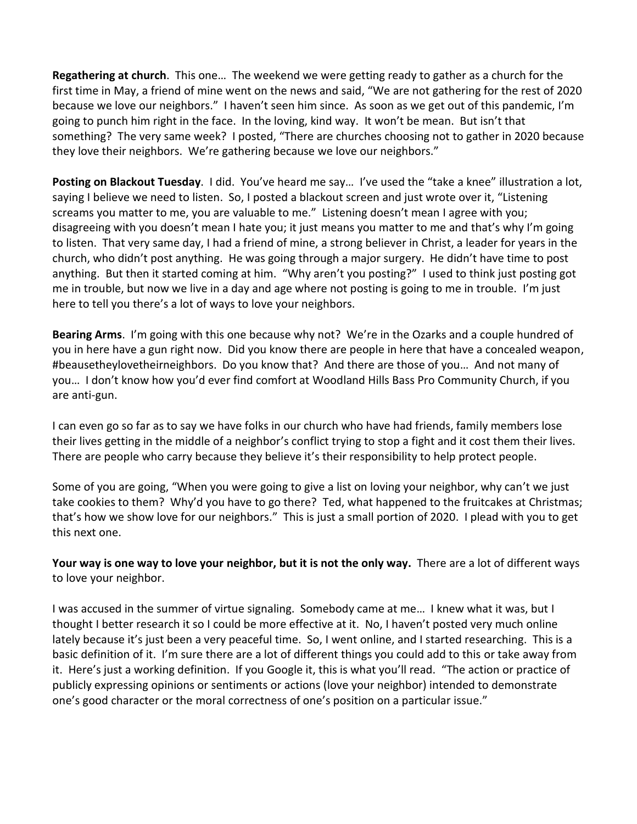**Regathering at church**. This one… The weekend we were getting ready to gather as a church for the first time in May, a friend of mine went on the news and said, "We are not gathering for the rest of 2020 because we love our neighbors." I haven't seen him since. As soon as we get out of this pandemic, I'm going to punch him right in the face. In the loving, kind way. It won't be mean. But isn't that something? The very same week? I posted, "There are churches choosing not to gather in 2020 because they love their neighbors. We're gathering because we love our neighbors."

**Posting on Blackout Tuesday**. I did. You've heard me say… I've used the "take a knee" illustration a lot, saying I believe we need to listen. So, I posted a blackout screen and just wrote over it, "Listening screams you matter to me, you are valuable to me." Listening doesn't mean I agree with you; disagreeing with you doesn't mean I hate you; it just means you matter to me and that's why I'm going to listen. That very same day, I had a friend of mine, a strong believer in Christ, a leader for years in the church, who didn't post anything. He was going through a major surgery. He didn't have time to post anything. But then it started coming at him. "Why aren't you posting?" I used to think just posting got me in trouble, but now we live in a day and age where not posting is going to me in trouble. I'm just here to tell you there's a lot of ways to love your neighbors.

**Bearing Arms**. I'm going with this one because why not? We're in the Ozarks and a couple hundred of you in here have a gun right now. Did you know there are people in here that have a concealed weapon, #beausetheylovetheirneighbors. Do you know that? And there are those of you… And not many of you… I don't know how you'd ever find comfort at Woodland Hills Bass Pro Community Church, if you are anti-gun.

I can even go so far as to say we have folks in our church who have had friends, family members lose their lives getting in the middle of a neighbor's conflict trying to stop a fight and it cost them their lives. There are people who carry because they believe it's their responsibility to help protect people.

Some of you are going, "When you were going to give a list on loving your neighbor, why can't we just take cookies to them? Why'd you have to go there? Ted, what happened to the fruitcakes at Christmas; that's how we show love for our neighbors." This is just a small portion of 2020. I plead with you to get this next one.

**Your way is one way to love your neighbor, but it is not the only way.** There are a lot of different ways to love your neighbor.

I was accused in the summer of virtue signaling. Somebody came at me… I knew what it was, but I thought I better research it so I could be more effective at it. No, I haven't posted very much online lately because it's just been a very peaceful time. So, I went online, and I started researching. This is a basic definition of it. I'm sure there are a lot of different things you could add to this or take away from it. Here's just a working definition. If you Google it, this is what you'll read. "The action or practice of publicly expressing opinions or sentiments or actions (love your neighbor) intended to demonstrate one's good character or the moral correctness of one's position on a particular issue."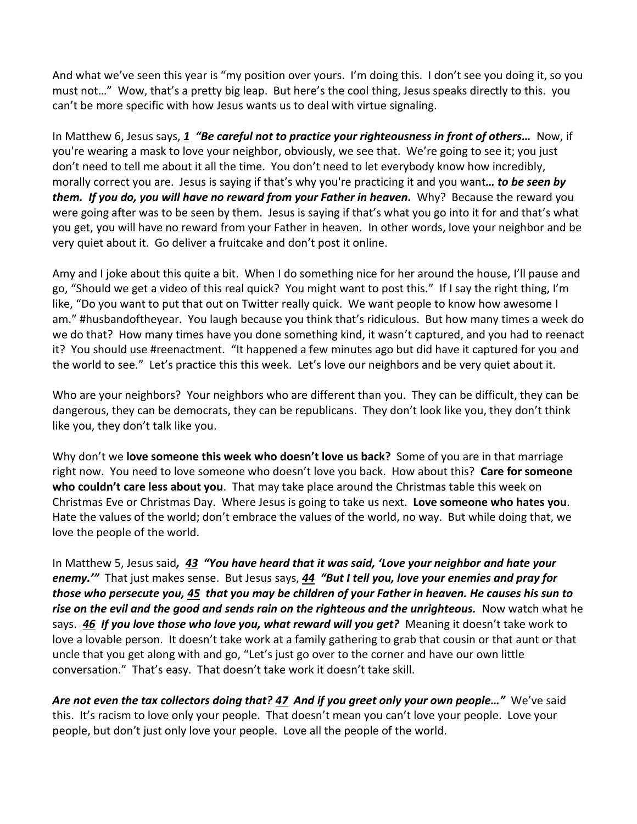And what we've seen this year is "my position over yours. I'm doing this. I don't see you doing it, so you must not…" Wow, that's a pretty big leap. But here's the cool thing, Jesus speaks directly to this. you can't be more specific with how Jesus wants us to deal with virtue signaling.

In Matthew 6, Jesus says, *[1](https://www.studylight.org/desk/?q=mt%206:1&t1=en_niv&sr=1) "Be careful not to practice your righteousness in front of others…* Now, if you're wearing a mask to love your neighbor, obviously, we see that. We're going to see it; you just don't need to tell me about it all the time. You don't need to let everybody know how incredibly, morally correct you are. Jesus is saying if that's why you're practicing it and you want*… to be seen by them. If you do, you will have no reward from your Father in heaven.* Why? Because the reward you were going after was to be seen by them. Jesus is saying if that's what you go into it for and that's what you get, you will have no reward from your Father in heaven. In other words, love your neighbor and be very quiet about it. Go deliver a fruitcake and don't post it online.

Amy and I joke about this quite a bit. When I do something nice for her around the house, I'll pause and go, "Should we get a video of this real quick? You might want to post this." If I say the right thing, I'm like, "Do you want to put that out on Twitter really quick. We want people to know how awesome I am." #husbandoftheyear. You laugh because you think that's ridiculous. But how many times a week do we do that? How many times have you done something kind, it wasn't captured, and you had to reenact it? You should use #reenactment. "It happened a few minutes ago but did have it captured for you and the world to see." Let's practice this this week. Let's love our neighbors and be very quiet about it.

Who are your neighbors? Your neighbors who are different than you. They can be difficult, they can be dangerous, they can be democrats, they can be republicans. They don't look like you, they don't think like you, they don't talk like you.

Why don't we **love someone this week who doesn't love us back?** Some of you are in that marriage right now. You need to love someone who doesn't love you back. How about this? **Care for someone who couldn't care less about you**. That may take place around the Christmas table this week on Christmas Eve or Christmas Day. Where Jesus is going to take us next. **Love someone who hates you**. Hate the values of the world; don't embrace the values of the world, no way. But while doing that, we love the people of the world.

In Matthew 5, Jesus said*, [43](https://www.studylight.org/desk/?q=mt%205:43&t1=en_niv&sr=1) "You have heard that it was said, 'Love your neighbor and hate your enemy.'"* That just makes sense. But Jesus says, *[44](https://www.studylight.org/desk/?q=mt%205:44&t1=en_niv&sr=1) "But I tell you, love your enemies and pray for those who persecute you, [45](https://www.studylight.org/desk/?q=mt%205:45&t1=en_niv&sr=1) that you may be children of your Father in heaven. He causes his sun to rise on the evil and the good and sends rain on the righteous and the unrighteous.* Now watch what he says. *[46](https://www.studylight.org/desk/?q=mt%205:46&t1=en_niv&sr=1) If you love those who love you, what reward will you get?* Meaning it doesn't take work to love a lovable person. It doesn't take work at a family gathering to grab that cousin or that aunt or that uncle that you get along with and go, "Let's just go over to the corner and have our own little conversation." That's easy. That doesn't take work it doesn't take skill.

*Are not even the tax collectors doing that? [47](https://www.studylight.org/desk/?q=mt%205:47&t1=en_niv&sr=1) And if you greet only your own people…"* We've said this. It's racism to love only your people. That doesn't mean you can't love your people. Love your people, but don't just only love your people. Love all the people of the world.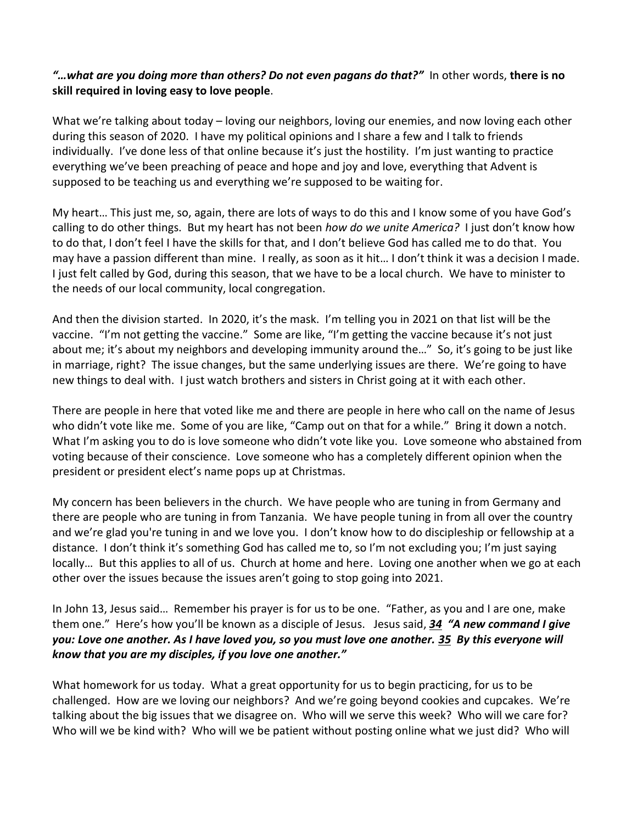## *"…what are you doing more than others? Do not even pagans do that?"* In other words, **there is no skill required in loving easy to love people**.

What we're talking about today – loving our neighbors, loving our enemies, and now loving each other during this season of 2020. I have my political opinions and I share a few and I talk to friends individually. I've done less of that online because it's just the hostility. I'm just wanting to practice everything we've been preaching of peace and hope and joy and love, everything that Advent is supposed to be teaching us and everything we're supposed to be waiting for.

My heart… This just me, so, again, there are lots of ways to do this and I know some of you have God's calling to do other things. But my heart has not been *how do we unite America?* I just don't know how to do that, I don't feel I have the skills for that, and I don't believe God has called me to do that. You may have a passion different than mine. I really, as soon as it hit… I don't think it was a decision I made. I just felt called by God, during this season, that we have to be a local church. We have to minister to the needs of our local community, local congregation.

And then the division started. In 2020, it's the mask. I'm telling you in 2021 on that list will be the vaccine. "I'm not getting the vaccine." Some are like, "I'm getting the vaccine because it's not just about me; it's about my neighbors and developing immunity around the…" So, it's going to be just like in marriage, right? The issue changes, but the same underlying issues are there. We're going to have new things to deal with. I just watch brothers and sisters in Christ going at it with each other.

There are people in here that voted like me and there are people in here who call on the name of Jesus who didn't vote like me. Some of you are like, "Camp out on that for a while." Bring it down a notch. What I'm asking you to do is love someone who didn't vote like you. Love someone who abstained from voting because of their conscience. Love someone who has a completely different opinion when the president or president elect's name pops up at Christmas.

My concern has been believers in the church. We have people who are tuning in from Germany and there are people who are tuning in from Tanzania. We have people tuning in from all over the country and we're glad you're tuning in and we love you. I don't know how to do discipleship or fellowship at a distance. I don't think it's something God has called me to, so I'm not excluding you; I'm just saying locally… But this applies to all of us. Church at home and here. Loving one another when we go at each other over the issues because the issues aren't going to stop going into 2021.

In John 13, Jesus said… Remember his prayer is for us to be one. "Father, as you and I are one, make them one." Here's how you'll be known as a disciple of Jesus. Jesus said, *[34](https://www.studylight.org/desk/?q=joh%2013:34&t1=en_niv&sr=1) "A new command I give you: Love one another. As I have loved you, so you must love one another. [35](https://www.studylight.org/desk/?q=joh%2013:35&t1=en_niv&sr=1) By this everyone will know that you are my disciples, if you love one another."*

What homework for us today. What a great opportunity for us to begin practicing, for us to be challenged. How are we loving our neighbors? And we're going beyond cookies and cupcakes. We're talking about the big issues that we disagree on. Who will we serve this week? Who will we care for? Who will we be kind with? Who will we be patient without posting online what we just did? Who will